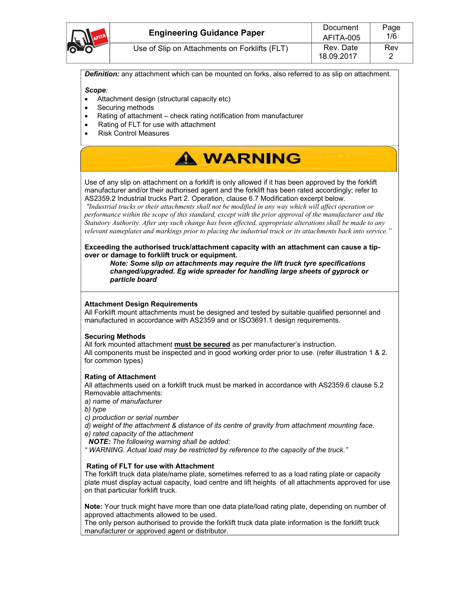| O O AFITA | <b>Engineering Guidance Paper</b>             | Document<br>AFITA-005   | Page<br>1/6 |
|-----------|-----------------------------------------------|-------------------------|-------------|
|           | Use of Slip on Attachments on Forklifts (FLT) | Rev. Date<br>18.09.2017 | Rev         |

*Definition:* any attachment which can be mounted on forks, also referred to as slip on attachment.

*Scope:* 

- Attachment design (structural capacity etc)
- Securing methods
- Rating of attachment check rating notification from manufacturer
- Rating of FLT for use with attachment
- Risk Control Measures



Use of any slip on attachment on a forklift is only allowed if it has been approved by the forklift manufacturer and/or their authorised agent and the forklift has been rated accordingly; refer to AS2359.2 Industrial trucks Part 2. Operation, clause 6.7 Modification excerpt below.

*"Industrial trucks or their attachments shall not be modified in any way which will affect operation or performance within the scope of this standard, except with the prior approval of the manufacturer and the Statutory Authority. After any such change has been effected, appropriate alterations shall be made to any relevant nameplates and markings prior to placing the industrial truck or its attachments back into service."* 

**Exceeding the authorised truck/attachment capacity with an attachment can cause a tipover or damage to forklift truck or equipment.** 

*Note: Some slip on attachments may require the lift truck tyre specifications changed/upgraded. Eg wide spreader for handling large sheets of gyprock or particle board* 

#### **Attachment Design Requirements**

All Forklift mount attachments must be designed and tested by suitable qualified personnel and manufactured in accordance with AS2359 and or ISO3691.1 design requirements.

#### **Securing Methods**

All fork mounted attachment **must be secured** as per manufacturer's instruction. All components must be inspected and in good working order prior to use. (refer illustration 1 & 2. for common types)

#### **Rating of Attachment**

All attachments used on a forklift truck must be marked in accordance with AS2359.6 clause 5.2 Removable attachments:

*a) name of manufacturer*

*b) type*

*c) production or serial number*

*d) weight of the attachment & distance of its centre of gravity from attachment mounting face.*

*e) rated capacity of the attachment*

*NOTE: The following warning shall be added:* 

*" WARNING. Actual load may be restricted by reference to the capacity of the truck."* 

#### **Rating of FLT for use with Attachment**

The forklift truck data plate/name plate, sometimes referred to as a load rating plate or capacity plate must display actual capacity, load centre and lift heights of all attachments approved for use on that particular forklift truck.

**Note:** Your truck might have more than one data plate/load rating plate, depending on number of approved attachments allowed to be used.

The only person authorised to provide the forklift truck data plate information is the forklift truck manufacturer or approved agent or distributor.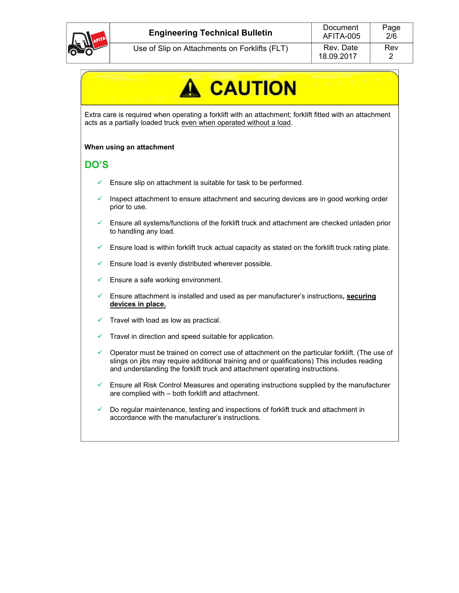

# **CAUTION**

Extra care is required when operating a forklift with an attachment; forklift fitted with an attachment acts as a partially loaded truck even when operated without a load.

#### **When using an attachment**

### **DO'S**

- $\checkmark$  Ensure slip on attachment is suitable for task to be performed.
- Inspect attachment to ensure attachment and securing devices are in good working order prior to use.
- $\checkmark$  Ensure all systems/functions of the forklift truck and attachment are checked unladen prior to handling any load.
- $\checkmark$  Ensure load is within forklift truck actual capacity as stated on the forklift truck rating plate.
- Ensure load is evenly distributed wherever possible.
- Ensure a safe working environment.
- Ensure attachment is installed and used as per manufacturer's instructions**, securing devices in place.**
- $\checkmark$  Travel with load as low as practical.
- Travel in direction and speed suitable for application.
- Operator must be trained on correct use of attachment on the particular forklift. (The use of slings on jibs may require additional training and or qualifications) This includes reading and understanding the forklift truck and attachment operating instructions.
- Ensure all Risk Control Measures and operating instructions supplied by the manufacturer are complied with – both forklift and attachment.
- $\checkmark$  Do regular maintenance, testing and inspections of forklift truck and attachment in accordance with the manufacturer's instructions.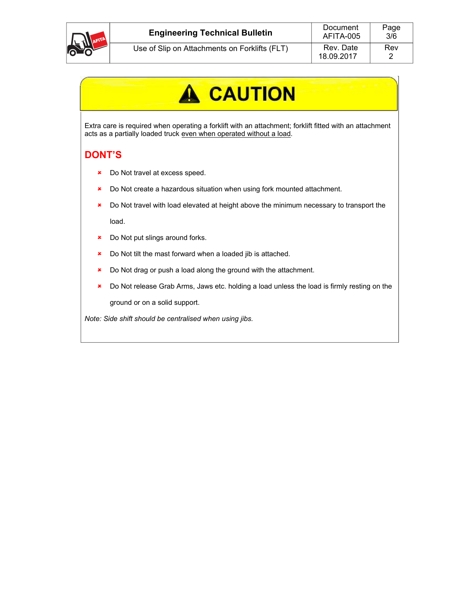

## **A** CAUTION

Extra care is required when operating a forklift with an attachment; forklift fitted with an attachment acts as a partially loaded truck even when operated without a load.

## **DONT'S**

- **\*** Do Not travel at excess speed.
- \* Do Not create a hazardous situation when using fork mounted attachment.
- **\*** Do Not travel with load elevated at height above the minimum necessary to transport the load.
- **\*** Do Not put slings around forks.
- **\*** Do Not tilt the mast forward when a loaded jib is attached.
- **\*** Do Not drag or push a load along the ground with the attachment.
- \* Do Not release Grab Arms, Jaws etc. holding a load unless the load is firmly resting on the ground or on a solid support.

*Note: Side shift should be centralised when using jibs.*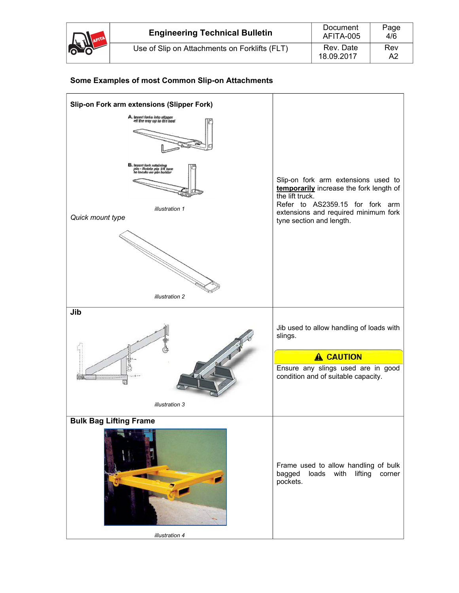|      | <b>Engineering Technical Bulletin</b>         | Document<br>AFITA-005   | Page<br>4/6 |
|------|-----------------------------------------------|-------------------------|-------------|
| AFIT | Use of Slip on Attachments on Forklifts (FLT) | Rev. Date<br>18.09.2017 | Rev<br>A2   |



### **Some Examples of most Common Slip-on Attachments**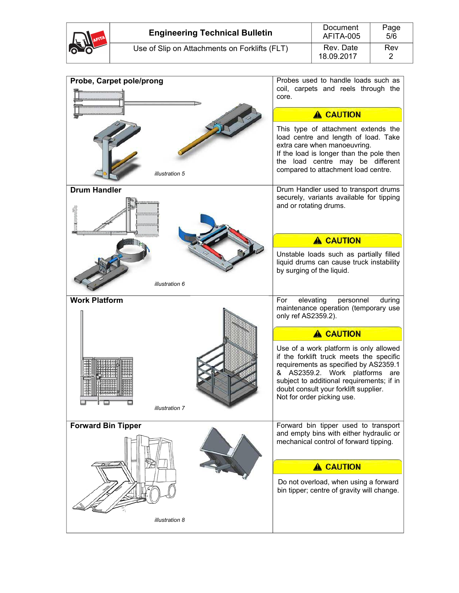

| Probe, Carpet pole/prong  | Probes used to handle loads such as<br>coil, carpets and reels through the<br>core.                                                                                                                                                                                               |
|---------------------------|-----------------------------------------------------------------------------------------------------------------------------------------------------------------------------------------------------------------------------------------------------------------------------------|
|                           | <b>A CAUTION</b>                                                                                                                                                                                                                                                                  |
| illustration 5            | This type of attachment extends the<br>load centre and length of load. Take<br>extra care when manoeuvring.<br>If the load is longer than the pole then<br>the load centre may be different<br>compared to attachment load centre.                                                |
| <b>Drum Handler</b>       | Drum Handler used to transport drums<br>securely, variants available for tipping                                                                                                                                                                                                  |
|                           | and or rotating drums.                                                                                                                                                                                                                                                            |
|                           | <b>A CAUTION</b>                                                                                                                                                                                                                                                                  |
| illustration 6            | Unstable loads such as partially filled<br>liquid drums can cause truck instability<br>by surging of the liquid.                                                                                                                                                                  |
| <b>Work Platform</b>      | For<br>elevating<br>personnel<br>during                                                                                                                                                                                                                                           |
|                           | maintenance operation (temporary use<br>only ref AS2359.2).                                                                                                                                                                                                                       |
|                           | <b>A CAUTION</b>                                                                                                                                                                                                                                                                  |
| illustration 7            | Use of a work platform is only allowed<br>if the forklift truck meets the specific<br>requirements as specified by AS2359.1<br>& AS2359.2. Work platforms are<br>subject to additional requirements; if in<br>doubt consult your forklift supplier.<br>Not for order picking use. |
| <b>Forward Bin Tipper</b> | Forward bin tipper used to transport                                                                                                                                                                                                                                              |
|                           | and empty bins with either hydraulic or<br>mechanical control of forward tipping.                                                                                                                                                                                                 |
|                           | <b>A CAUTION</b>                                                                                                                                                                                                                                                                  |
|                           | Do not overload, when using a forward<br>bin tipper; centre of gravity will change.                                                                                                                                                                                               |
| illustration 8            |                                                                                                                                                                                                                                                                                   |